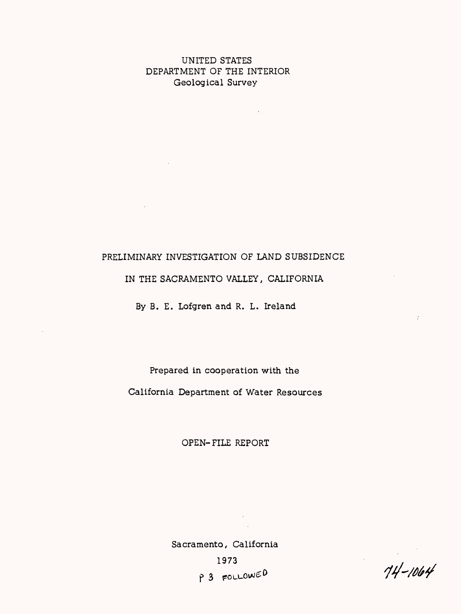# UNITED STATES DEPARTMENT OF THE INTERIOR Geological Survey

 $\sim 10^{-1}$ 

 $\sim 10^{-11}$ 

 $\sim 10^7$ 

# PRELIMINARY INVESTIGATION OF LAND SUBSIDENCE

IN THE SACRAMENTO VALLEY, CALIFORNIA

By B. E. Lofgren and R. L. Ireland

Prepared in cooperation with the California Department of Water Resources

OPEN-FILE REPORT

Sacramento, California 1973 P 3 FOLLOWED

 $\sim$  100

 $74 - 1064$ 

 $\mathcal{I}$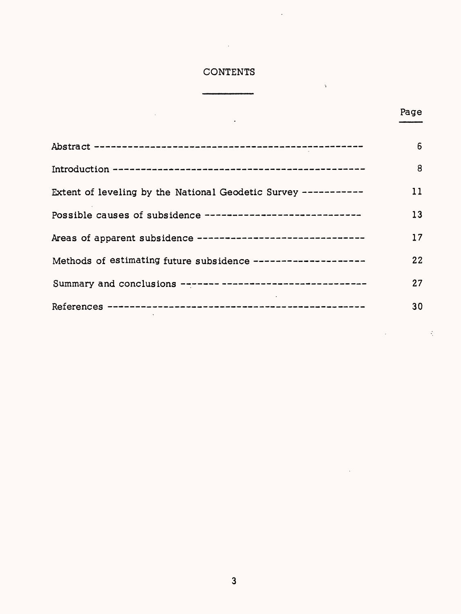# CONTENTS

 $\ddot{\phantom{0}}$ 

 $\sim 10^{-10}$ 

 $\ddot{\phantom{1}}$ 

 $\bar{\chi}$ 

 $\ddot{\phantom{a}}$ 

# Page

 $\frac{1}{2}$ 

|                                                                | 6  |
|----------------------------------------------------------------|----|
|                                                                | 8  |
| Extent of leveling by the National Geodetic Survey ----------- | 11 |
| Possible causes of subsidence -----------------------------    | 13 |
| Areas of apparent subsidence ------------------------------    | 17 |
| Methods of estimating future subsidence --------------------   | 22 |
| Summary and conclusions ------- ---------------------------    | 27 |
|                                                                | 30 |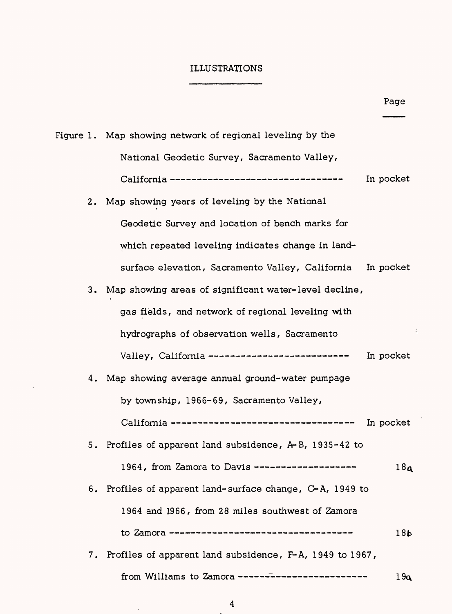# ILLUSTRATIONS

|    |                                                             | Page            |
|----|-------------------------------------------------------------|-----------------|
|    | Figure 1.  Map showing network of regional leveling by the  |                 |
|    | National Geodetic Survey, Sacramento Valley,                |                 |
|    | California ----------------------------------               | In pocket       |
|    | 2. Map showing years of leveling by the National            |                 |
|    | Geodetic Survey and location of bench marks for             |                 |
|    | which repeated leveling indicates change in land-           |                 |
|    | surface elevation, Sacramento Valley, California            | In pocket       |
|    | 3. Map showing areas of significant water-level decline,    |                 |
|    | gas fields, and network of regional leveling with           |                 |
|    | hydrographs of observation wells, Sacramento                | ÷               |
|    | Valley, California --------------------------               | In pocket       |
|    | 4. Map showing average annual ground-water pumpage          |                 |
|    | by township, 1966-69, Sacramento Valley,                    |                 |
|    | California ----------------------------------               | In pocket       |
| 5. | Profiles of apparent land subsidence, $A - B$ , 1935-42 to  |                 |
|    | 1964, from Zamora to Davis ------                           | 18a             |
| 6. | Profiles of apparent land-surface change, C-A, 1949 to      |                 |
|    | 1964 and 1966, from 28 miles southwest of Zamora            |                 |
|    |                                                             | 18 <sub>b</sub> |
|    | 7. Profiles of apparent land subsidence, F-A, 1949 to 1967, |                 |
|    | from Williams to Zamora -------------------------           | 19a             |

 $\ddot{\phantom{a}}$ 

 $\ddot{\phantom{a}}$ 

 $\bar{z}$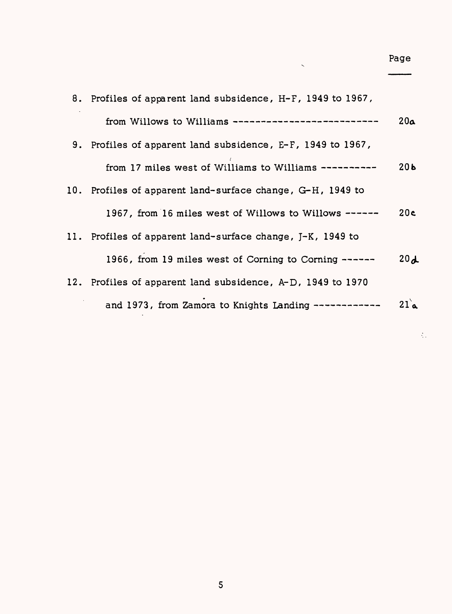| 8. Profiles of apparent land subsidence, H-F, 1949 to 1967, |                 |
|-------------------------------------------------------------|-----------------|
| from Willows to Williams --------------------------         | 20a             |
| 9. Profiles of apparent land subsidence, E-F, 1949 to 1967, |                 |
| from 17 miles west of Williams to Williams ----------       | 20 <sub>b</sub> |
| 10. Profiles of apparent land-surface change, G-H, 1949 to  |                 |
| 1967, from 16 miles west of Willows to Willows ------       | 20c             |
| 11. Profiles of apparent land-surface change, J-K, 1949 to  |                 |
| 1966, from 19 miles west of Corning to Corning ------       | 20d             |
| 12. Profiles of apparent land subsidence, A-D, 1949 to 1970 |                 |
| and 1973, from Zamora to Knights Landing ------------       | 21a             |

 $\ddot{\phantom{1}}$ 

Page

 $\frac{1}{2}$  .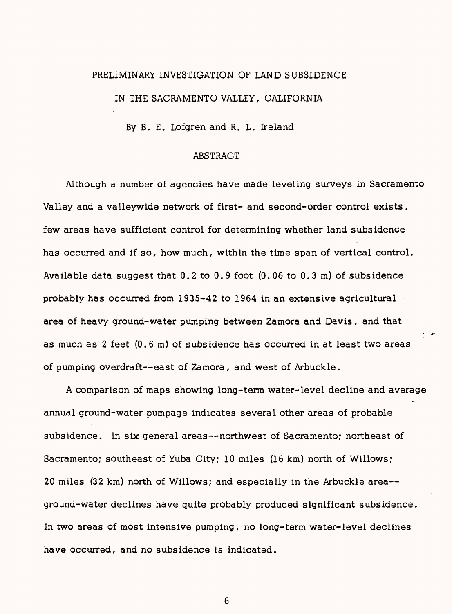# PRELIMINARY INVESTIGATION OF LAND SUBSIDENCE IN THE SACRAMENTO VALLEY, CALIFORNIA

By B. E. Lofgren and R. L. Ireland

## ABSTRACT

Although a number of agencies have made leveling surveys in Sacramento Valley and a valleywide network of first- and second-order control exists *,*  few areas have sufficient control for determining whether land subsidence has occurred and if so, how much, within the time span of vertical control. Available data suggest that 0.2 to 0.9 foot (0.06 to 0.3 m) of subsidence probably has occurred from 1935-42 to 1964 in an extensive agricultural area of heavy ground-water pumping between Zamora and Davis, and that as much as 2 feet (0.6 m) of subsidence has occurred in at least two areas of pumping overdraft--east of Zamora, and west of Arbuckle.

A comparison of maps showing long-term water-level decline and average annual ground-water pumpage indicates several other areas of probable subsidence. In six general areas--northwest of Sacramento; northeast of Sacramento; southeast of Yuba City; 10 miles (16 km) north of Willows; 20 miles (32 km) north of Willows; and especially in the Arbuckle area ground-water declines have quite probably produced significant subsidence. In two areas of most intensive pumping, no long-term water-level declines have occurred, and no subsidence is indicated.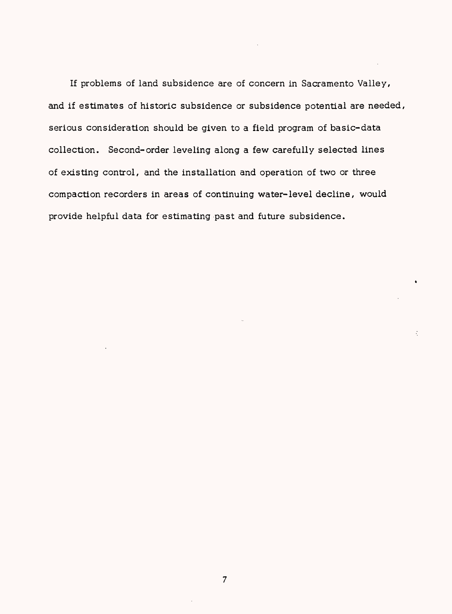If problems of land subsidence are of concern in Sacramento Valley, and if estimates of historic subsidence or subsidence potential are needed, serious consideration should be given to a field program of basic-data collection. Second-order leveling along a few carefully selected lines of existing control, and the installation and operation of two or three compaction recorders in areas of continuing water-level decline, would provide helpful data for estimating past and future subsidence.

 $\ddot{\cdot}$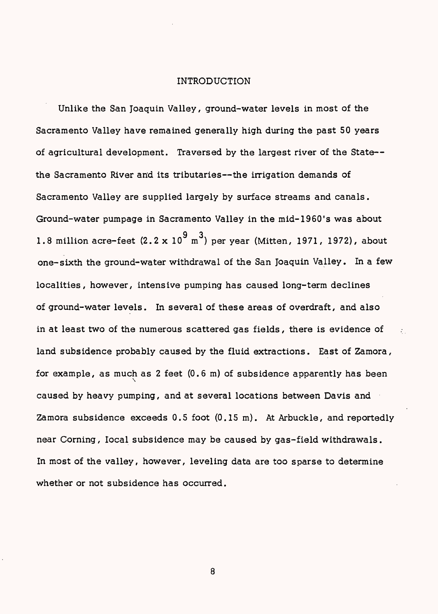#### INTRODUCTION

Unlike the San Joaquin Valley, ground-water levels in most of the Sacramento Valley have remained generally high during the past 50 years of agricultural development. Traversed by the largest river of the State the Sacramento River and its tributaries--the irrigation demands of Sacramento Valley are supplied largely by surface streams and canals. Ground-water pumpage in Sacramento Valley in the mid-1960's was about 1.8 million acre-feet  $(2.2 \times 10^9 \text{ m}^3)$  per year (Mitten, 1971, 1972), about one-sixth the ground-water withdrawal of the San Joaquin Valley. In a few localities, however, intensive pumping has caused long-term declines of ground-water levels. In several of these areas of overdraft, and also in at least two of the numerous scattered gas fields, there is evidence of land subsidence probably caused by the fluid extractions. East of Zamora, for example, as much as 2 feet (0.6 m) of subsidence apparently has been caused by heavy pumping, and at several locations between Davis and Zamora subsidence exceeds 0.5 foot (0.15 m). At Arbuckle, and reportedly near Corning, local subsidence may be caused by gas-field withdrawals. In most of the valley, however, leveling data are too sparse to determine whether or not subsidence has occurred.

 $\mathcal{L}_{\mathrm{in}}$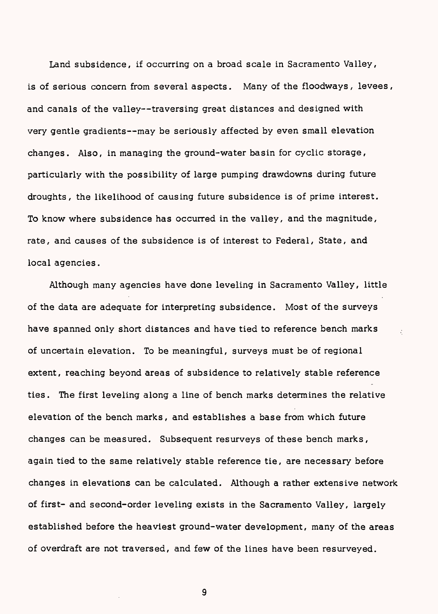Land subsidence, if occurring on a broad scale in Sacramento Valley, is of serious concern from several aspects. Many of the floodways, levees, and canals of the valley--traversing great distances and designed with very gentle gradients--may be seriously affected by even small elevation changes. Also, in managing the ground-water basin for cyclic storage, particularly with the possibility of large pumping drawdowns during future droughts, the likelihood of causing future subsidence is of prime interest. To know where subsidence has occurred in the valley, and the magnitude, rate, and causes of the subsidence is of interest to Federal, State, and local agencies.

Although many agencies have done leveling in Sacramento Valley, little of the data are adequate for interpreting subsidence. Most of the surveys have spanned only short distances and have tied to reference bench marks of uncertain elevation. To be meaningful, surveys must be of regional extent, reaching beyond areas of subsidence to relatively stable reference ties. The first leveling along a line of bench marks determines the relative elevation of the bench marks, and establishes a base from which future changes can be measured. Subsequent resurveys of these bench marks, again tied to the same relatively stable reference tie, are necessary before changes in elevations can be calculated. Although a rather extensive network of first- and second-order leveling exists in the Sacramento Valley, largely established before the heaviest ground-water development, many of the areas of overdraft are not traversed, and few of the lines have been resurveyed.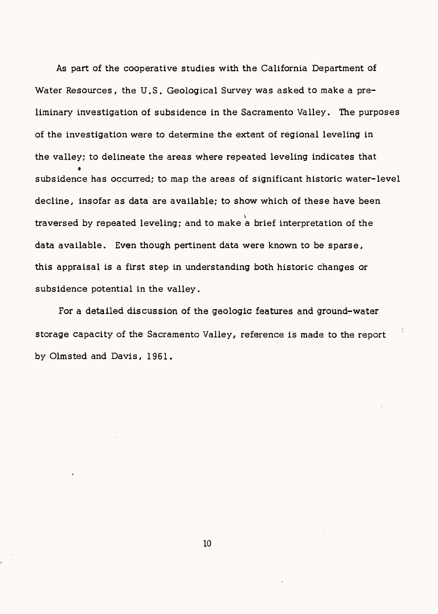As part of the cooperative studies with the California Department of Water Resources, the U.S. Geological Survey was asked to make a preliminary investigation of subsidence in the Sacramento Valley. The purposes of the investigation were to determine the extent of regional leveling in the valley; to delineate the areas where repeated leveling indicates that  $\bullet$ subsidence has occurred; to map the areas of significant historic water-level decline, insofar as data are available; to show which of these have been traversed by repeated leveling; and to make  $\stackrel{\text{'}}{\text{a}}$  brief interpretation of the data available. Even though pertinent data were known to be sparse, this appraisal is a first step in understanding both historic changes or subsidence potential in the valley.

For a detailed discussion of the geologic features and ground-water storage capacity of the Sacramento Valley, reference is made to the report by Olmsted and Davis, 1961.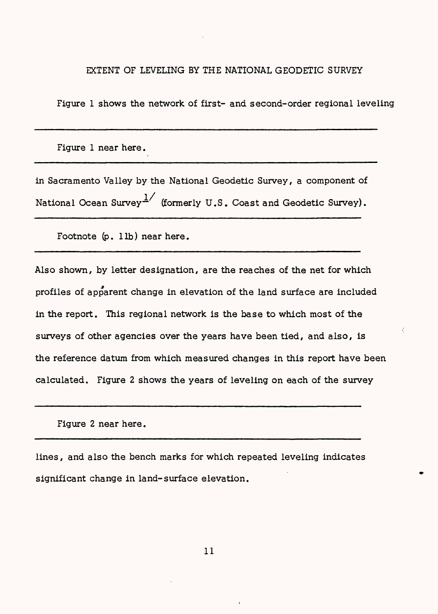### EXTENT OF LEVELING BY THE NATIONAL GEODETIC SURVEY

Figure 1 shows the network of first- and second-order regional leveling

Figure 1 near here.

in Sacramento Valley by the National Geodetic Survey, a component of National Ocean Survey  $\frac{1}{1}$  (formerly U.S. Coast and Geodetic Survey).

Footnote  $(p. 1 lb)$  near here.

Also shown, by letter designation, are the reaches of the net for which profiles of apparent change in elevation of the land surface are included in the report. This regional network is the base to which most of the surveys of other agencies over the years have been tied, and also, is the reference datum from which measured changes in this report have been calculated. Figure 2 shows the years of leveling on each of the survey

Figure 2 near here.

lines, and also the bench marks for which repeated leveling indicates significant change in land-surface elevation.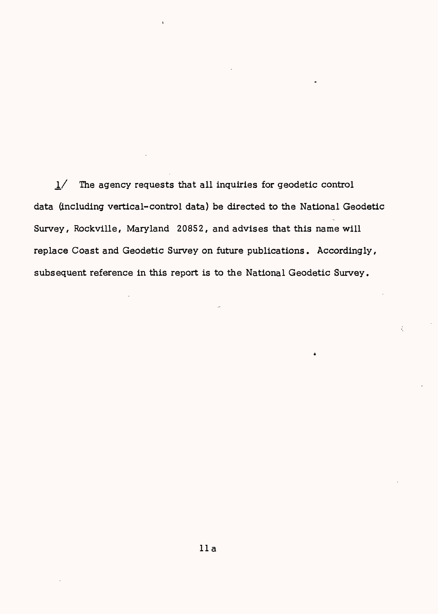$1/$  The agency requests that all inquiries for geodetic control data (including vertical-control data) be directed to the National Geodetic Survey, Rockville, Maryland 20852, and advises that this name will replace Coast and Geodetic Survey on future publications. Accordingly, subsequent reference in this report is to the National Geodetic Survey.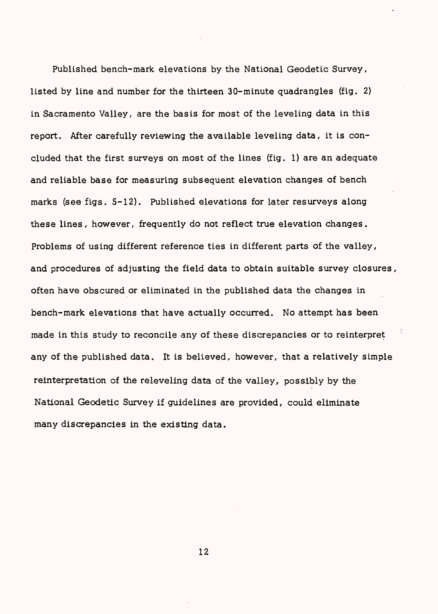Published bench-mark elevations by the National Geodetic Survey, listed by line and number for the thirteen 30-minute quadrangles (fig. 2) in Sacramento Valley, are the basis for most of the leveling data in this report. After carefully reviewing the available leveling data, it is concluded that the first surveys on most of the lines (fig. 1) are an adequate and reliable base for measuring subsequent elevation changes of bench marks (see figs. 5-12). Published elevations for later resurveys along these lines, however, frequently do not reflect true elevation changes. Problems of using different reference ties in different parts of the valley, and procedures of adjusting the field data to obtain suitable survey closures, often have obscured or eliminated in the published data the changes in bench-mark elevations that have actually occurred. No attempt has been made in this study to reconcile any of these discrepancies or to reinterpret any of the published data. It is believed, however, that a relatively simple reinterpretation of the releveling data of the valley, possibly by the National Geodetic Survey if guidelines are provided, could eliminate many discrepancies in the existing data.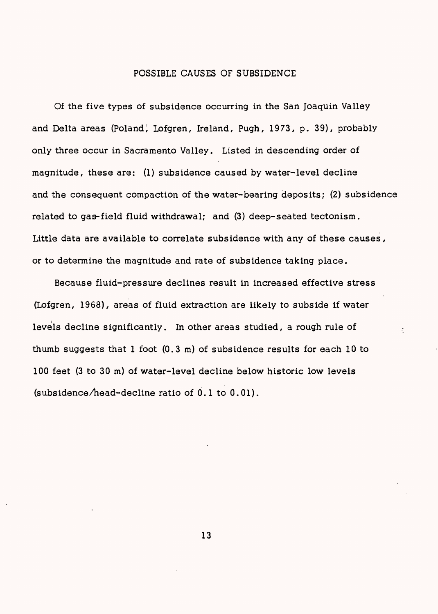## POSSIBLE CAUSES OF SUBSIDENCE

Of the five types of subsidence occurring in the San Joaquin Valley and Delta areas (Poland *\* Lofgren, Ireland, Pugh, 1973, p. 39), probably only three occur in Sacramento Valley. Listed in descending order of magnitude, these are: (1) subsidence caused by water-level decline and the consequent compaction of the water-bearing deposits; (2) subsidence related to gas-field fluid withdrawal; and (3) deep-seated tectonism. Little data are available to correlate subsidence with any of these causes, or to determine the magnitude and rate of subsidence taking place.

Because fluid-pressure declines result in increased effective stress (Lofgren, 1968), areas of fluid extraction are likely to subside if water levels decline significantly. In other areas studied, a rough rule of thumb suggests that 1 foot (0.3 m) of subsidence results for each 10 to 100 feet (3 to 30 m) of water-level decline below historic low levels (subsidence/head-decline ratio of 0.1 to 0.01).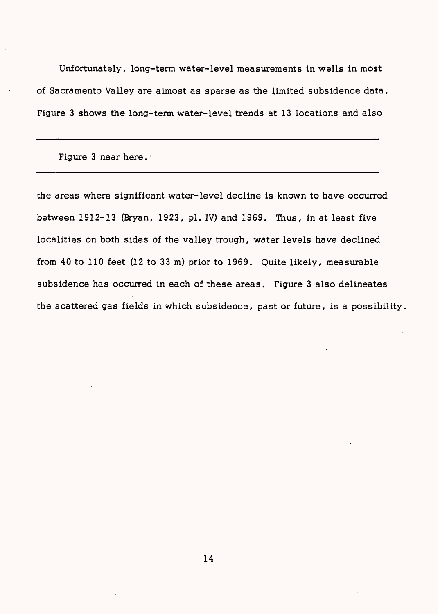Unfortunately, long-term water-level measurements in wells in most of Sacramento Valley are almost as sparse as the limited subsidence data. Figure 3 shows the long-term water-level trends at 13 locations and also

Figure 3 near here.

the areas where significant water-level decline is known to have occurred between 1912-13 (Bryan, 1923, pi. IV) and 1969. Thus, in at least five localities on both sides of the valley trough, water levels have declined from 40 to 110 feet (12 to 33 m) prior to 1969. Quite likely, measurable subsidence has occurred in each of these areas. Figure 3 also delineates the scattered gas fields in which subsidence, past or future, is a possibility,

÷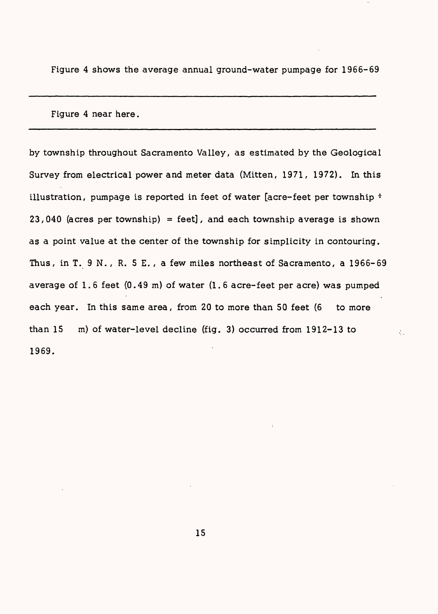Figure 4 shows the average annual ground-water pumpage for 1966-69

Figure 4 near here.

by township throughout Sacramento Valley, as estimated by the Geological Survey from electrical power and meter data (Mitten, 1971, 1972). In this illustration, pumpage is reported in feet of water [acre-feet per township \*  $23,040$  (acres per township) = feet], and each township average is shown as a point value at the center of the township for simplicity in contouring. Thus, in T. 9 N. , R. 5 E. , a few miles northeast of Sacramento, a 1966-69 average of 1. 6 feet (0.49 m) of water (1. 6 acre-feet per acre) was pumped each year. In this same area, from 20 to more than 50 feet (6 to more than 15 m) of water-level decline (fig. 3) occurred from 1912-13 to 1969.

÷.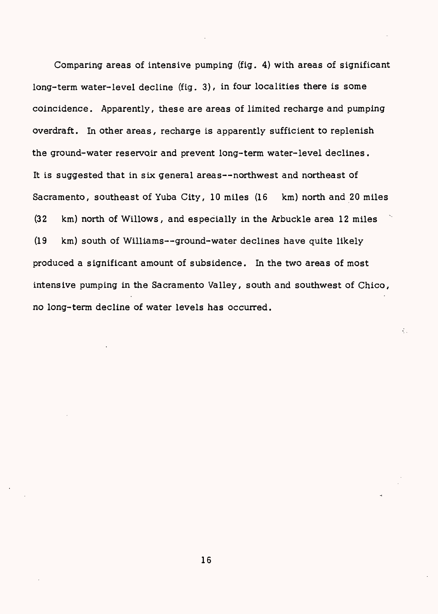Comparing areas of intensive pumping (fig. 4) with areas of significant long-term water-level decline (fig. 3), in four localities there is some coincidence. Apparently, these are areas of limited recharge and pumping overdraft. In other areas, recharge is apparently sufficient to replenish the ground-water reservoir and prevent long-term water-level declines. It is suggested that in six general areas--northwest and northeast of Sacramento, southeast of Yuba City, 10 miles (16 km) north and 20 miles (32 km) north of Willows, and especially in the Arbuckle area 12 miles (19 km) south of Williams--ground-water declines have quite likely produced a significant amount of subsidence. In the two areas of most intensive pumping in the Sacramento Valley, south and southwest of Chico, no long-term decline of water levels has occurred.

 $\mathcal{L}_{\mathrm{in}}$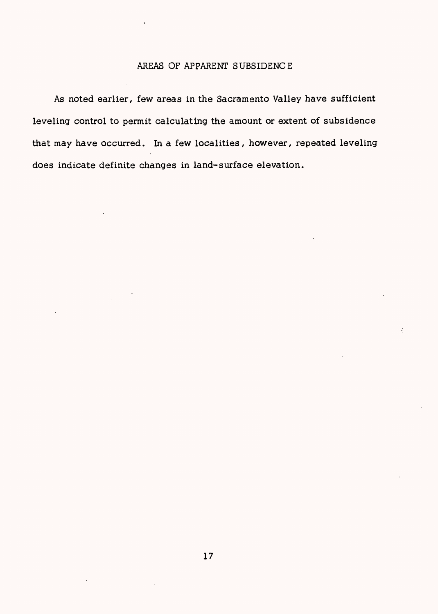## AREAS OF APPARENT SUBSIDENCE

As noted earlier, few areas in the Sacramento Valley have sufficient leveling control to permit calculating the amount or extent of subsidence that may have occurred. In a few localities, however, repeated leveling does indicate definite changes in land-surface elevation.

÷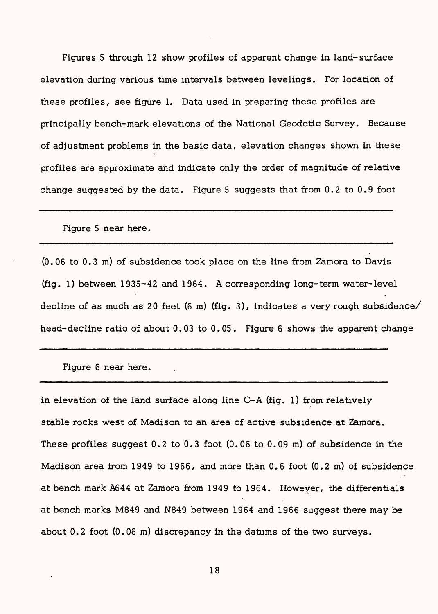Figures 5 through 12 show profiles of apparent change in land-surface elevation during various time intervals between levelings. For location of these profiles*,* see figure 1. Data used in preparing these profiles are principally bench-mark elevations of the National Geodetic Survey. Because of adjustment problems in the basic data, elevation changes shown in these profiles are approximate and indicate only the order of magnitude of relative change suggested by the data. Figure 5 suggests that from 0.2 to 0.9 foot

Figure 5 near here.

(0.06 to 0.3 m) of subsidence took place on the line from Zamora to Davis (fig. 1) between 1935-42 and 1964. A corresponding long-term water-level decline of as much as 20 feet (6 m) (fig. 3), indicates a very rough subsidence/ head-decline ratio of about 0.03 to 0.05. Figure 6 shows the apparent change

Figure 6 near here.

in elevation of the land surface along line C-A (fig. 1) from relatively stable rocks west of Madison to an area of active subsidence at Zamora. These profiles suggest 0.2 to 0.3 foot (0.06 to 0.09 m) of subsidence in the Madison area from 1949 to 1966, and more than  $0.6$  foot  $(0.2 \text{ m})$  of subsidence at bench mark A644 at Zamora from 1949 to 1964. However, the differentials at bench marks M849 and N849 between 1964 and 1966 suggest there may be about 0.2 foot (0.06 m) discrepancy in the datums of the two surveys.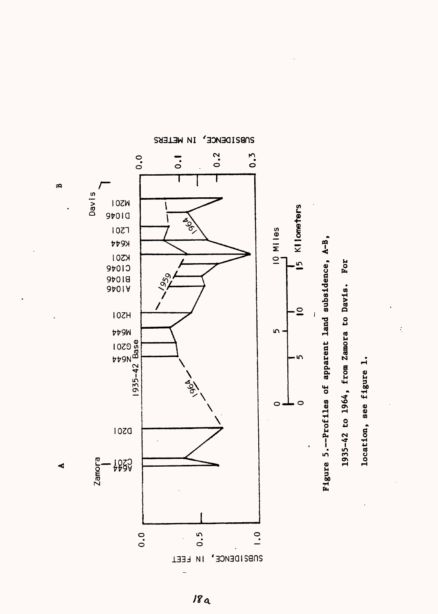

**0> ft**

**t-h**

 $\dot{\zeta}$ 

**MELERS IN WELERS** 

 $18a$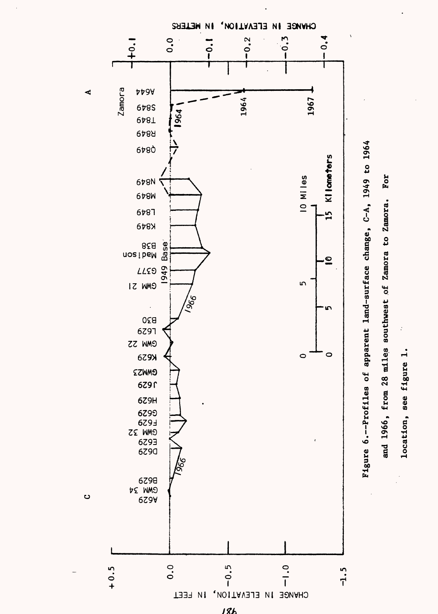

location, see figure 1.

location, see figure 1.

 $\boldsymbol{\cdot}$ 

 $18h$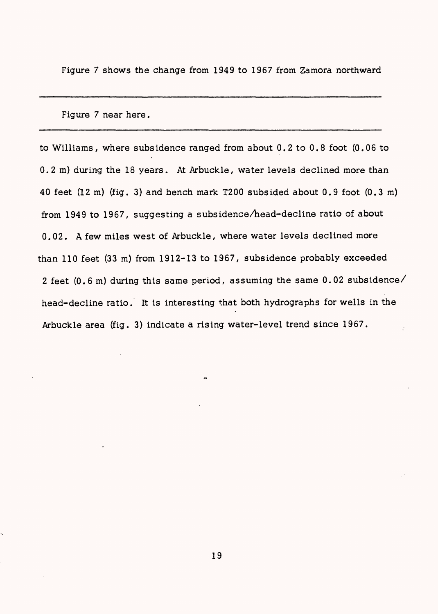Figure 7 shows the change from 1949 to 1967 from Zamora northward

Figure 7 near here.

to Williams, where subsidence ranged from about 0.2 to 0.8 foot (0.06 to 0.2 m) during the 18 years. At Arbuckle, water levels declined more than 40 feet (12 m) (fig. 3) and bench mark T200 subsided about 0.9 foot (0.3 m) from 1949 to 1967, suggesting a subsidence/head-decline ratio of about 0.02. A few miles west of Arbuckle, where water levels declined more than 110 feet (33 m) from 1912-13 to 1967, subsidence probably exceeded 2 feet (0.6 m) during this same period, assuming the same 0.02 subsidence/ head-decline ratio. It is interesting that both hydrographs for wells in the Arbuckle area (fig. 3) indicate a rising water-level trend since 1967.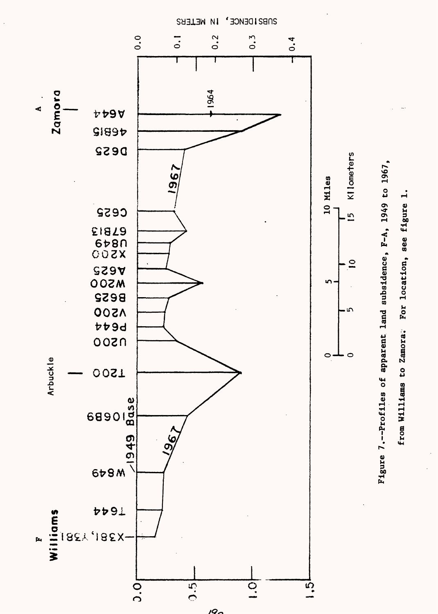

SUBS IDENCE<sup>,</sup> IN WELLEKS

IQ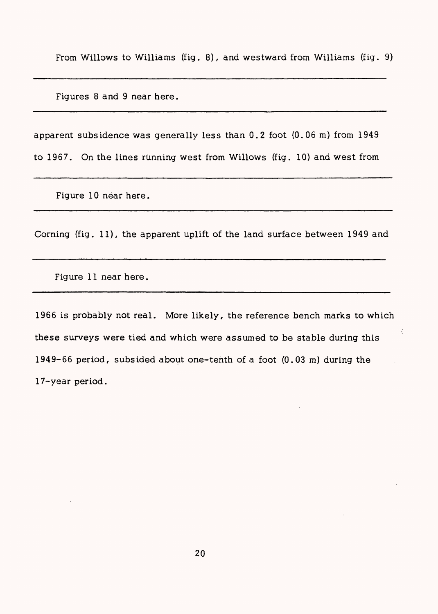From Willows to Williams (fig. 8), and westward from Williams (fig. 9)

Figures 8 and 9 near here.

apparent subsidence was generally less than 0.2 foot (0.06 m) from 1949 to 1967. On the lines running west from Willows (fig. 10) and west from

Figure 10 near here.

Corning (fig. 11), the apparent uplift of the land surface between 1949 and

Figure 11 near here.

1966 is probably not real. More likely, the reference bench marks to which these surveys were tied and which were assumed to be stable during this 1949-66 period, subsided about one-tenth of a foot (0.03 m) during the 17-year period.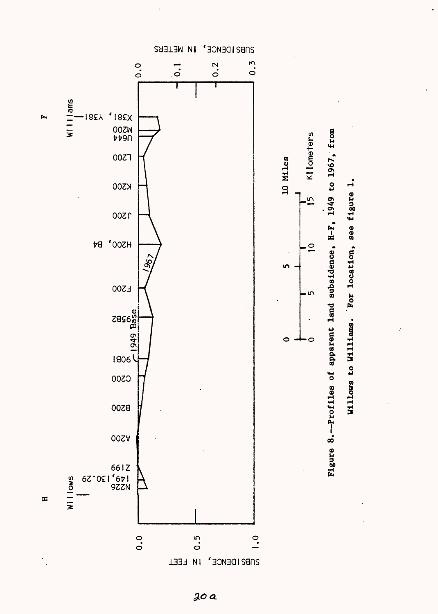

n o

 $\frac{1}{2}$ 

.ocat:

్త

20 a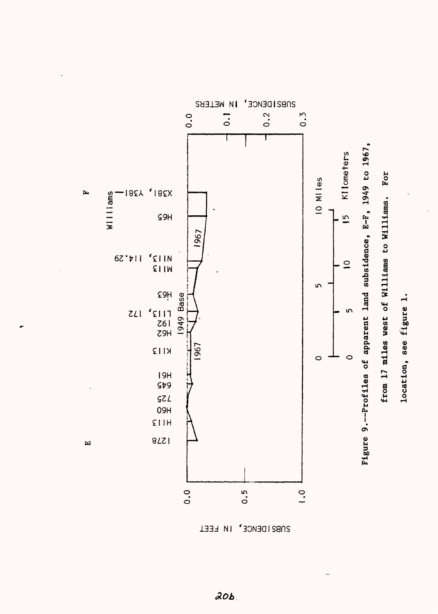SUBSIDENCE' IN WELEBS **b c 1 c 1 c 1 c 1 c 1 c 1 c 1 c 1 c 1 c 1 c 1 c 1 c 1 c 1 c 1 c 1 c 1 c 1 c 1 c 1 c 1 c 1 c 1 c 1 c 1 c 1 c 1 c L, 1 , -J ^ \***  $\overline{\phi}$   $\overline{\theta}$ **(D O CO0H ^ 3 rt E**<br>**549 Q) § Y38I X38I,**   $\mathbf{p}$ **3f^ H65 ,**   $\mathbf{f}$  $1111$ am <br>**0 -**<br>**0 -- 1**<br>**1**<br>**2**<br>**a ^ I ^/ H**<br> **H**<br> **W**<br> **W**<br> **W**<br> **W (D 3O <sup>13</sup> Ml /H ' \_i 114.29 13, Ml . \_\_ CO /ii / COg-**  $\mathfrak{m}$ **rtOi-hg** B<br>B<br>B<br>HOP<br>C9H<br>C9H<br>C9H<br>C9H<br>C9H<br>C9H<br>C9<br>C9<br>C9<br>C9<br>C9 5<br>**1**and **<sup>172</sup> ' Ll13 (-a, . 81 \**   $\begin{array}{c} 1111 \\
261 \\
29H\n\end{array}$ <u>ب</u> **(D S CO**  $\frac{1}{2}$ **H62 - KII3 ! c£ ^ CO c> «-^» o H« (D COO**  $i$ **r** $\cos 17$ **H6I <sup>1</sup> 645 \ -/ ( VOi~H 0 Ki H- 725 I H60 \ HII3 U <sup>1</sup> <sup>r</sup> 1278 (D**  $\mathbf{H}$ **OQe 00 O Ul O** 



**oo**

 $l$ **r**  $l$ **on** 

**CO (D (D K>**

**OQ C H (D j\_,**

 $20b$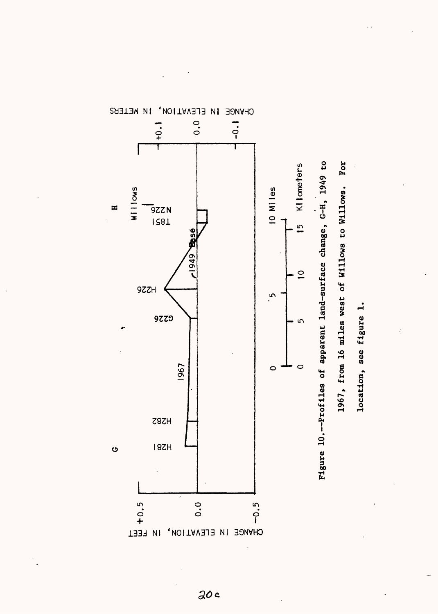

IN METERS CHVNCE

 $20c$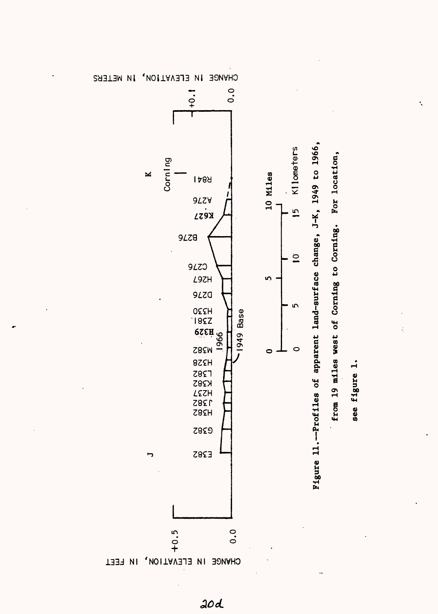

**ETERS** 

 $20d$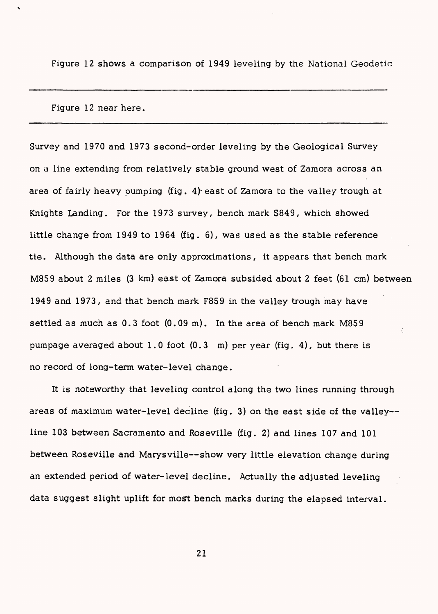Figure 12 shows a comparison of 1949 leveling by the National Geodetic

Figure 12 near here.

Survey and 1970 and 1973 second-order leveling by the Geological Survey on a line extending from relatively stable ground west of Zamora across an area of fairly heavy pumping (fig. 4)- east of Zamora to the valley trough at Knights Landing. For the 1973 survey, bench mark S849, which showed little change from 1949 to 1964 (fig. 6), was used as the stable reference tie. Although the data are only approximations, it appears that bench mark M859 about 2 miles (3 km) east of Zamora subsided about 2 feet (61 cm) between 1949 and 1973, and that bench mark F859 in the valley trough may have settled as much as 0.3 foot (0.09 m). In the area of bench mark M859 pumpage averaged about 1.0 foot (0.3 m) per year (fig. 4), but there is no record of long-term water-level change.

It is noteworthy that leveling control along the two lines running through areas of maximum water-level decline (fig. 3) on the east side of the valley line 103 between Sacramento and Roseville (fig. 2) and lines 107 and 101 between Roseville and Marysville--show very little elevation change during an extended period of water-level decline. Actually the adjusted leveling data suggest slight uplift for most bench marks during the elapsed interval.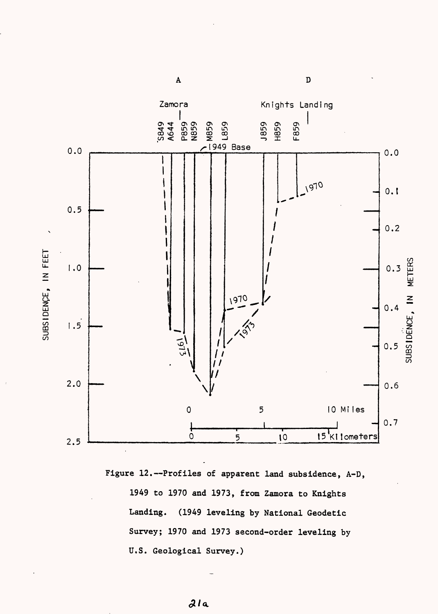



 $\mathbf A$ 

 $\, {\bf D}$ 

 $21a$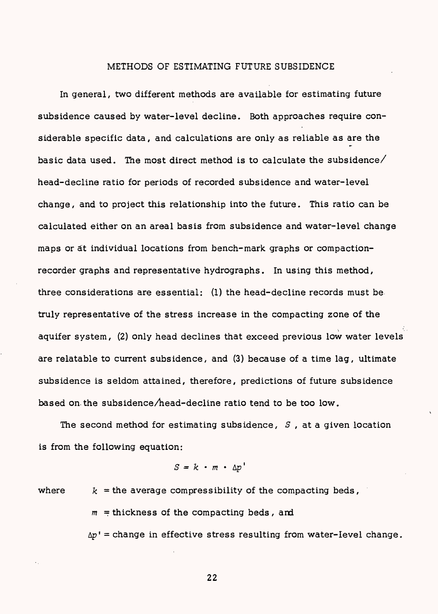## METHODS OF ESTIMATING FUTURE SUBSIDENCE

In general, two different methods are available for estimating future subsidence caused by water-level decline. Both approaches require considerable specific data, and calculations are only as reliable as are the basic data used. The most direct method is to calculate the subsidence $\angle$ head-decline ratio for periods of recorded subsidence and water-level change, and to project this relationship into the future. This ratio can be calculated either on an areal basis from subsidence and water-level change maps or at individual locations from bench-mark graphs or compactionrecorder graphs and representative hydrographs. In using this method, three considerations are essential: (1) the head-decline records must be truly representative of the stress increase in the compacting zone of the aquifer system, (2) only head declines that exceed previous low water levels are relatable to current subsidence, and (3) because of a time lag, ultimate subsidence is seldom attained, therefore, predictions of future subsidence based on. the subsidence/head-decline ratio tend to be too low.

The second method for estimating subsidence, *S ,* at a given location is from the following equation:

$$
S = k \cdot m \cdot \Delta p'
$$

where  $k =$  the average compressibility of the compacting beds,

 $m =$  thickness of the compacting beds, and

 $\Delta p'$  = change in effective stress resulting from water-level change.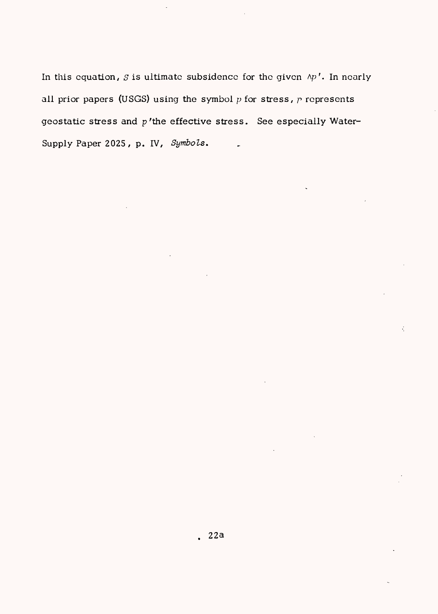In this equation,  $S$  is ultimate subsidence for the given  $\wedge p'$ . In nearly all prior papers (USGS) using the symbol *p* for stress, p represents geostatic stress and  $p'$ the effective stress. See especially Water-Supply Paper 2025 / p. IV, *Symbols.*

÷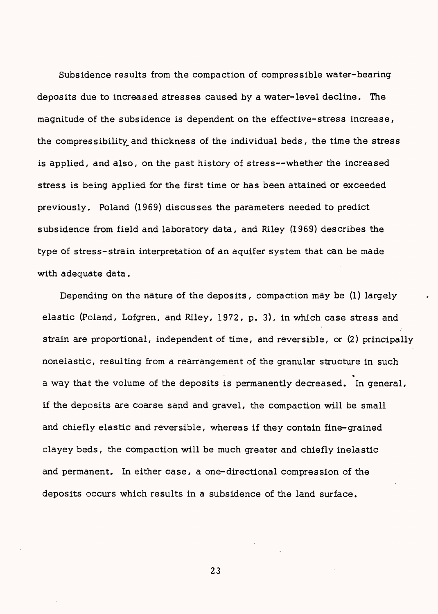Subsidence results from the compaction of compressible water-bearing deposits due to increased stresses caused by a water-level decline. The magnitude of the subsidence is dependent on the effective-stress increase, the compressibility and thickness of the individual beds, the time the stress is applied, and also, on the past history of stress--whether the increased stress is being applied for the first time or has been attained or exceeded previously. Poland (1969) discusses the parameters needed to predict subsidence from field and laboratory data, and Riley (1969) describes the type of stress-strain interpretation of an aquifer system that can be made with adequate data.

Depending on the nature of the deposits, compaction may be (1) largely elastic (Poland, Lofgren, and Riley, 1972, p. 3), in which case stress and strain are proportional, independent of time, and reversible, or (2) principally nonelastic, resulting from a rearrangement of the granular structure in such » a way that the volume of the deposits is permanently decreased. In general, if the deposits are coarse sand and gravel, the compaction will be small and chiefly elastic and reversible, whereas if they contain fine-grained clayey beds, the compaction will be much greater and chiefly inelastic and permanent. In either case, a one-directional compression of the deposits occurs which results in a subsidence of the land surface.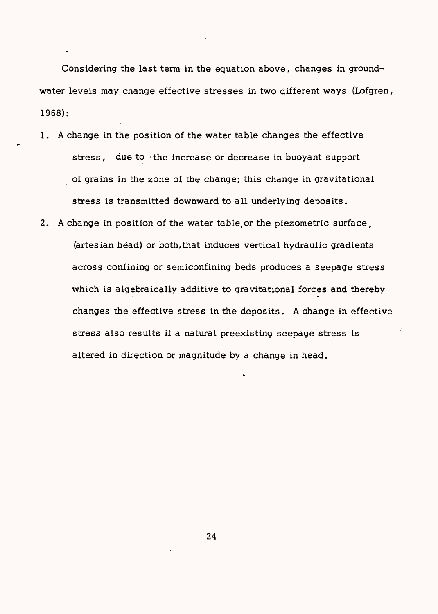Considering the last term in the equation above, changes in groundwater levels may change effective stresses in two different ways (Lofgren, 1968):

- 1. A change in the position of the water table changes the effective stress, due to the increase or decrease in buoyant support of grains in the zone of the change; this change in gravitational stress is transmitted downward to all underlying deposits.
- 2. A change in position of the water table,or the piezometric surface, (artesian head) or both,that induces vertical hydraulic gradients across confining or semiconfining beds produces a seepage stress which is algebraically additive to gravitational forces and thereby changes the effective stress in the deposits. A change in effective stress also results if a natural preexisting seepage stress is altered in direction or magnitude by a change in head.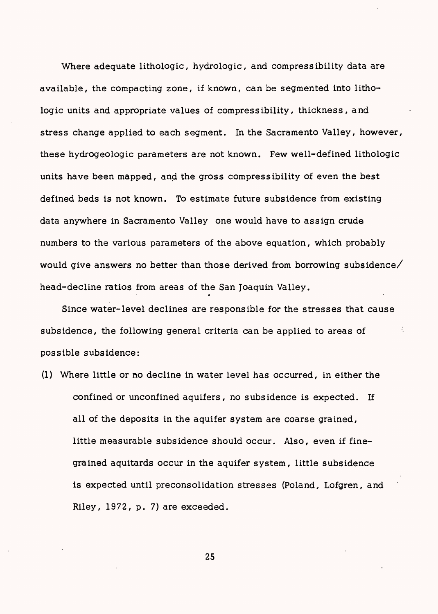Where adequate lithologic, hydrologic, and compressibility data are available, the compacting zone, if known, can be segmented into lithologic units and appropriate values of compressibility, thickness, and stress change applied to each segment. In the Sacramento Valley, however, these hydrogeologic parameters are not known. Few well-defined lithologic units have been mapped, and the gross compressibility of even the best defined beds is not known. To estimate future subsidence from existing data anywhere in Sacramento Valley one would have to assign crude numbers to the various parameters of the above equation, which probably would give answers no better than those derived from borrowing subsidence/ head-decline ratios from areas of the San Joaquin Valley.

Since water-level declines are responsible for the stresses that cause subsidence, the following general criteria can be applied to areas of possible subsidence:

(1) Where little or no decline in water level has occurred, in either the confined or unconfined aquifers, no subsidence is expected. If all of the deposits in the aquifer system are coarse grained, little measurable subsidence should occur. Also, even if finegrained aquitards occur in the aquifer system, little subsidence is expected until preconsolidation stresses (Poland, Lofgren, and Riley, 1972, p. 7) are exceeded.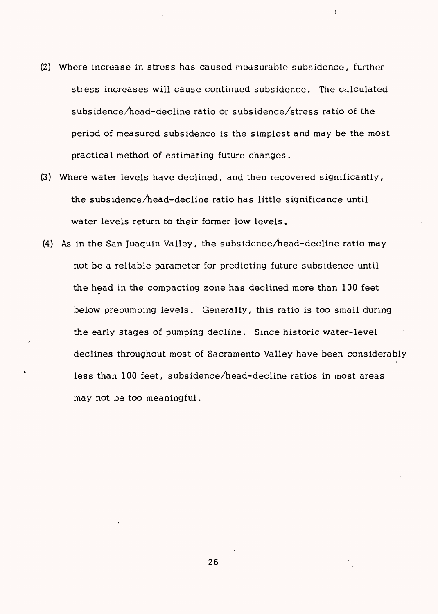- (2) Where increase in stress has caused measurable subsidence, further stress increases will cause continued subsidence. The calculated subsidence/head-decline ratio or subsidence/stress ratio of the period of measured subsidence is the simplest and may be the most practical method of estimating future changes.
- (3) Where water levels have declined, and then recovered significantly, the subsidence/head-decline ratio has little significance until water levels return to their former low levels.
- (4) As in the San Joaquin Valley, the subsidence/head-decline ratio may not be a reliable parameter for predicting future subsidence until the head in the compacting zone has declined more than 100 feet below prepumping levels. Generally, this ratio is too small during the early stages of pumping decline. Since historic water-level declines throughout most of Sacramento Valley have been considerably\ less than 100 feet, subsidence/head-decline ratios in most areas may not be too meaningful.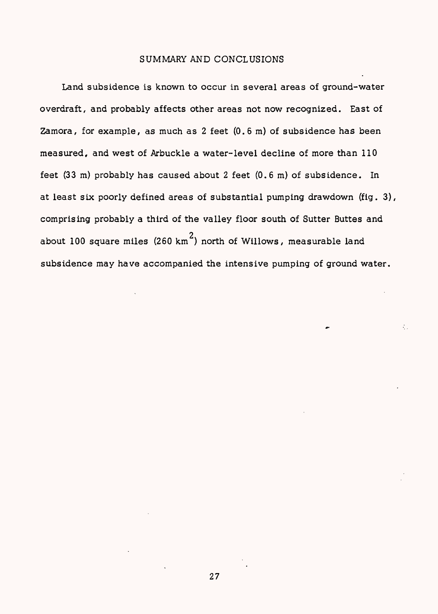## SUMMARY AND CONCLUSIONS

Land subsidence is known to occur in several areas of ground-water overdraft, and probably affects other areas not now recognized. East of Zamora, for example, as much as 2 feet (0.6 m) of subsidence has been measured, and west of Arbuckle a water-level decline of more than 110 feet (33 m) probably has caused about 2 feet (0.6 m) of subsidence. In at least six poorly defined areas of substantial pumping drawdown (fig. 3), comprising probably a third of the valley floor south of Sutter Buttes and about 100 square miles (260 km<sup>2</sup>) north of Willows, measurable land subsidence may have accompanied the intensive pumping of ground water.

÷.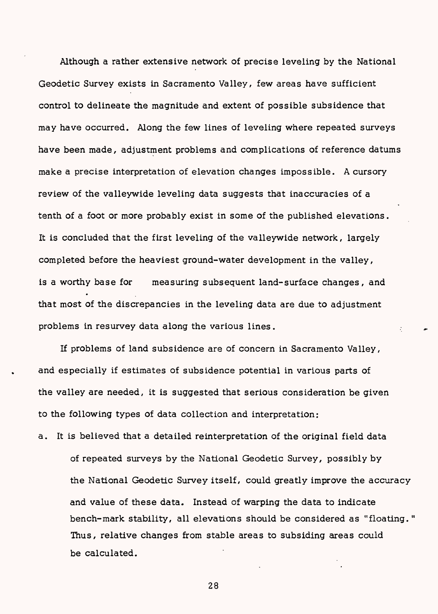Although a rather extensive network of precise leveling by the National Geodetic Survey exists in Sacramento Valley, few areas have sufficient control to delineate the magnitude and extent of possible subsidence that may have occurred. Along the few lines of leveling where repeated surveys have been made, adjustment problems and complications of reference datums make a precise interpretation of elevation changes impossible. A cursory review of the valleywide leveling data suggests that inaccuracies of a tenth of a foot or more probably exist in some of the published elevations. It is concluded that the first leveling of the valleywide network, largely completed before the heaviest ground-water development in the valley, is a worthy base for measuring subsequent land-surface changes, and that most of the discrepancies in the leveling data are due to adjustment problems in resurvey data along the various lines.

If problems of land subsidence are of concern in Sacramento Valley, and especially if estimates of subsidence potential in various parts of the valley are needed, it is suggested that serious consideration be given to the following types of data collection and interpretation:

a. It is believed that a detailed reinterpretation of the original field data of repeated surveys by the National Geodetic Survey, possibly by the National Geodetic Survey itself, could greatly improve the accuracy and value of these data. Instead of warping the data to indicate bench-mark stability, all elevations should be considered as "floating.' Thus, relative changes from stable areas to subsiding areas could be calculated.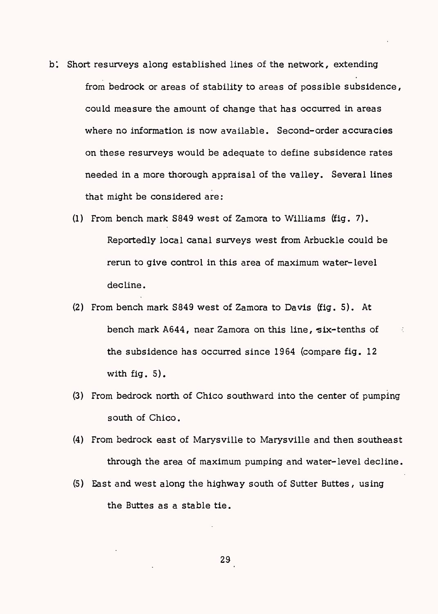- b: Short resurveys along established lines of the network, extending from bedrock or areas of stability to areas of possible subsidence, could measure the amount of change that has occurred in areas where no information is now available. Second-order accuracies on these resurveys would be adequate to define subsidence rates needed in a more thorough appraisal of the valley. Several lines that might be considered are:
	- (1) From bench mark S849 west of Zamora to Williams (fig. 7). Reportedly local canal surveys west from Arbuckle could be rerun to give control in this area of maximum water-level decline.
	- (2) From bench mark S849 west of Zamora to Davis (fig. 5). At bench mark A644, near Zamora on this line, six-tenths of the subsidence has occurred since 1964 (compare fig. 12 with fig. 5).

 $\zeta$ 

- (3) From bedrock north of Chico southward into the center of pumping south of Chico.
- (4) From bedrock east of Marysville to Marysville and then southeast through the area of maximum pumping and water-level decline.
- (5) East and west along the highway south of Sutter Buttes, using the Buttes as a stable tie.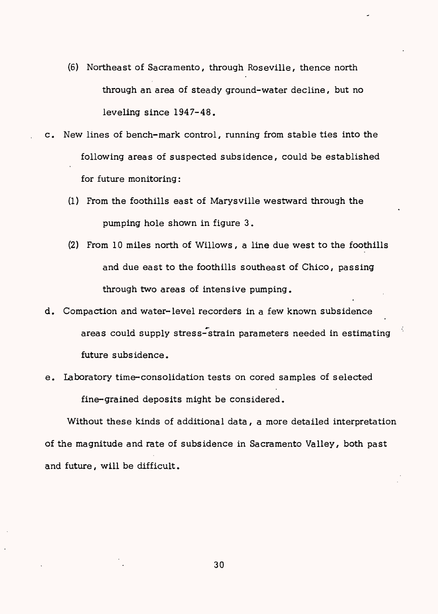- (6) Northeast of Sacramento, through Roseville, thence north through an area of steady ground-water decline, but no leveling since 1947-48.
- c. New lines of bench-mark control, running from stable ties into the following areas of suspected subsidence, could be established for future monitoring:
	- (1) From the foothills east of Marysville westward through the pumping hole shown in figure 3.
	- (2) From 10 miles north of Willows, a line due west to the foothills and due east to the foothills southeast of Chico, passing through two areas of intensive pumping,
- d. Compaction and water-level recorders in a few known subsidence areas could supply stress-strain parameters needed in estimating future subsidence,
- e. laboratory time-consolidation tests on cored samples of selected fine-grained deposits might be considered.

Without these kinds of additional data, a more detailed interpretation of the magnitude and rate of subsidence in Sacramento Valley, both past and future, will be difficult.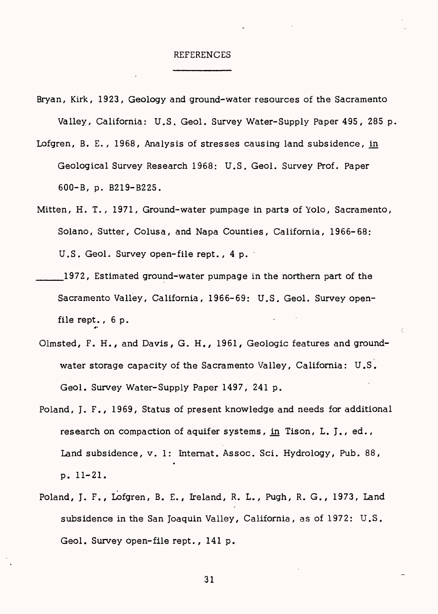#### REFERENCES

- Bryan, Kirk, 1923, Geology and ground-water resources of the Sacramento Valley, California: U.S. Geol. Survey Water-Supply Paper 495, 285 p,
- Lofgren, B. E., 1968, Analysis of stresses causing land subsidence, in Geological Survey Research 1968: U.S. Geol. Survey Prof. Paper 600-B, p. B219-B225.
- Mitten, H. T., 1971, Ground-water pumpage in parts of Yolo, Sacramento, Solano, Sutter, Colusa, and Napa Counties, California, 1966-68: U.S. Geol. Survey open-file rept. , 4 p.
- \_\_\_1972, Estimated ground-water pumpage in the northern part of the Sacramento Valley, California, 1966-69: U.S. Geol. Survey openfile rept.,  $6 p.$
- Olmsted, F. H., and Davis, G. H., 1961, Geologic features and groundwater storage capacity of the Sacramento Valley, California: U.S. Geol. Survey Water-Supply Paper 1497, 241 p.
- Poland, J. F., 1969, Status of present knowledge and needs for additional research on compaction of aquifer systems, in Tison, L. J., ed., Land subsidence, v. 1: Internat. Assoc. Sci. Hydrology *,* Pub. 88, p. 11-21.
- Poland, J. F., Lofgren, B. E., Ireland, R. L., Pugh, R. G., 1973, Land subsidence in the San Joaquin Valley, California, as of 1972: U.S. Geol. Survey open-file rept., 141 p.